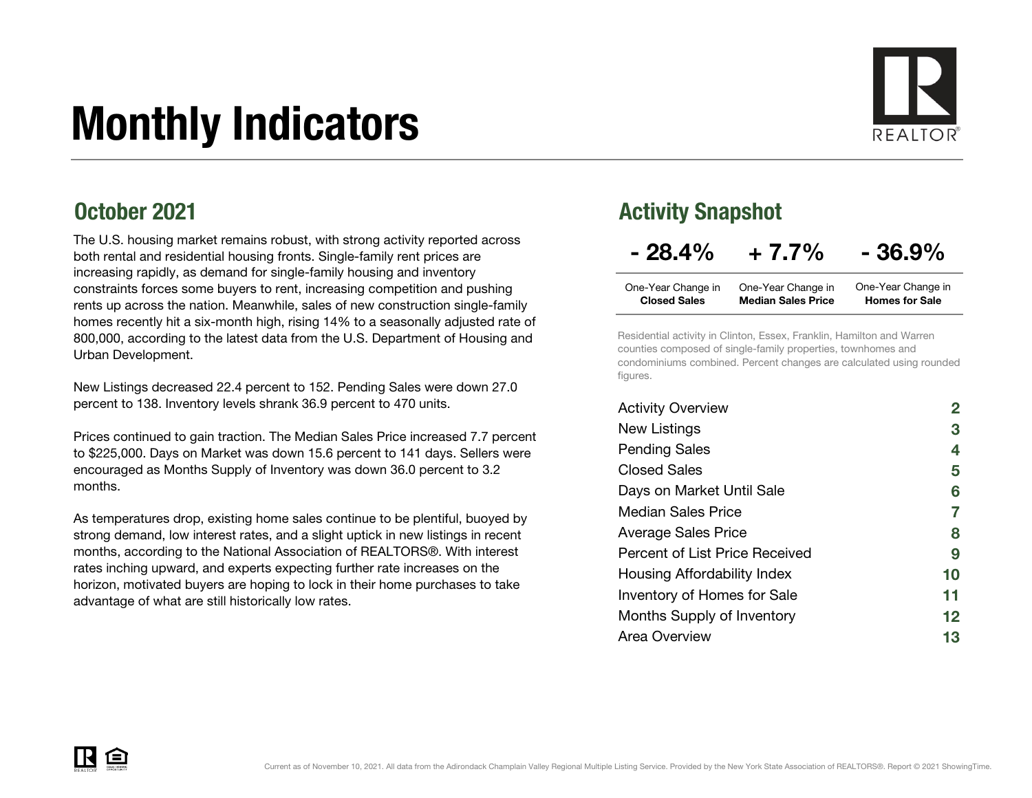# Monthly Indicators



### October 2021

The U.S. housing market remains robust, with strong activity reported across both rental and residential housing fronts. Single-family rent prices are increasing rapidly, as demand for single-family housing and inventory constraints forces some buyers to rent, increasing competition and pushing rents up across the nation. Meanwhile, sales of new construction single-family homes recently hit a six-month high, rising 14% to a seasonally adjusted rate of 800,000, according to the latest data from the U.S. Department of Housing and Urban Development.

New Listings decreased 22.4 percent to 152. Pending Sales were down 27.0 percent to 138. Inventory levels shrank 36.9 percent to 470 units.

Prices continued to gain traction. The Median Sales Price increased 7.7 percent to \$225,000. Days on Market was down 15.6 percent to 141 days. Sellers were encouraged as Months Supply of Inventory was down 36.0 percent to 3.2 months.

As temperatures drop, existing home sales continue to be plentiful, buoyed by strong demand, low interest rates, and a slight uptick in new listings in recent months, according to the National Association of REALTORS®. With interest rates inching upward, and experts expecting further rate increases on the horizon, motivated buyers are hoping to lock in their home purchases to take advantage of what are still historically low rates.

### Activity Snapshot

### $-28.4\% + 7.7\% - 36.9\%$

| One-Year Change in  | One-Year Change in        | One-Year Change in    |
|---------------------|---------------------------|-----------------------|
| <b>Closed Sales</b> | <b>Median Sales Price</b> | <b>Homes for Sale</b> |

Residential activity in Clinton, Essex, Franklin, Hamilton and Warren counties composed of single-family properties, townhomes and condominiums combined. Percent changes are calculated using rounded figures.

| <b>Activity Overview</b>       |    |
|--------------------------------|----|
| New Listings                   | 3  |
| <b>Pending Sales</b>           | 4  |
| <b>Closed Sales</b>            | 5  |
| Days on Market Until Sale      | 6  |
| <b>Median Sales Price</b>      | 7  |
| <b>Average Sales Price</b>     | 8  |
| Percent of List Price Received | 9  |
| Housing Affordability Index    | 10 |
| Inventory of Homes for Sale    | 11 |
| Months Supply of Inventory     | 12 |
| Area Overview                  | 13 |

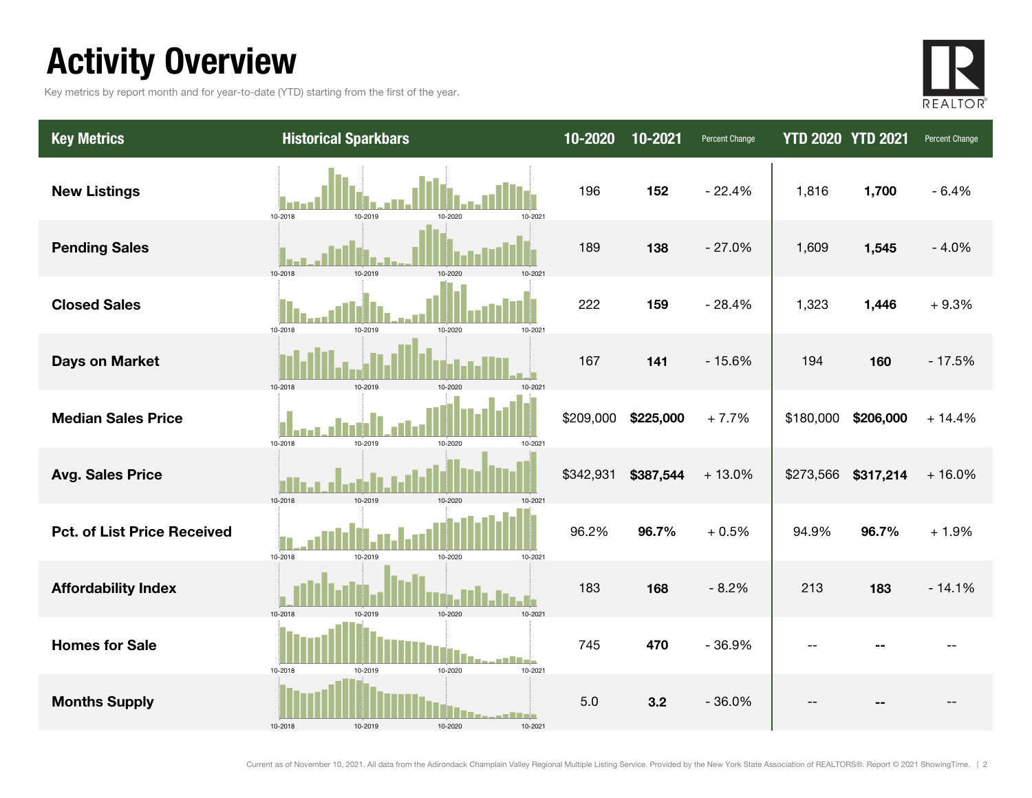## Activity Overview

Key metrics by report month and for year-to-date (YTD) starting from the first of the year.



| <b>Key Metrics</b>                 | <b>Historical Sparkbars</b>                            | 10-2020   | 10-2021   | Percent Change | <b>YTD 2020 YTD 2021</b> |           | Percent Change |
|------------------------------------|--------------------------------------------------------|-----------|-----------|----------------|--------------------------|-----------|----------------|
| <b>New Listings</b>                | 10-2018<br>10-2019<br>10-2021<br>10-2020               | 196       | 152       | $-22.4%$       | 1,816                    | 1,700     | $-6.4%$        |
| <b>Pending Sales</b>               | 10-2018<br>10-2019                                     | 189       | 138       | $-27.0%$       | 1,609                    | 1,545     | $-4.0%$        |
| <b>Closed Sales</b>                | 10-2018<br>10-2019<br>10-2021<br>10-2020               | 222       | 159       | $-28.4%$       | 1,323                    | 1,446     | $+9.3%$        |
| <b>Days on Market</b>              | 10-2019<br>10-2018<br>10-2020<br>10-2021               | 167       | 141       | $-15.6%$       | 194                      | 160       | $-17.5%$       |
| <b>Median Sales Price</b>          | 10-2019<br>10-2018<br>10-2020<br>10-2021               | \$209,000 | \$225,000 | $+7.7%$        | \$180,000                | \$206,000 | $+14.4%$       |
| <b>Avg. Sales Price</b>            | 10-2018<br>10-2019<br>10-2020<br>10-2021               | \$342,931 | \$387,544 | $+13.0%$       | \$273,566 \$317,214      |           | $+16.0%$       |
| <b>Pct. of List Price Received</b> | 10-2018<br>10-2019<br>10-2020<br>10-2021               | 96.2%     | 96.7%     | $+0.5%$        | 94.9%                    | 96.7%     | $+1.9%$        |
| <b>Affordability Index</b>         | 10-2018<br>10-2019<br>10-2020<br>10-2021               | 183       | 168       | $-8.2%$        | 213                      | 183       | $-14.1%$       |
| <b>Homes for Sale</b>              | 10-2021<br>10-2018<br>10-2019<br>10-2020               | 745       | 470       | $-36.9%$       | $-1$                     |           |                |
| <b>Months Supply</b>               | وزوري كروب<br>10-2018<br>10-2019<br>10-2020<br>10-2021 | 5.0       | 3.2       | $-36.0%$       |                          |           |                |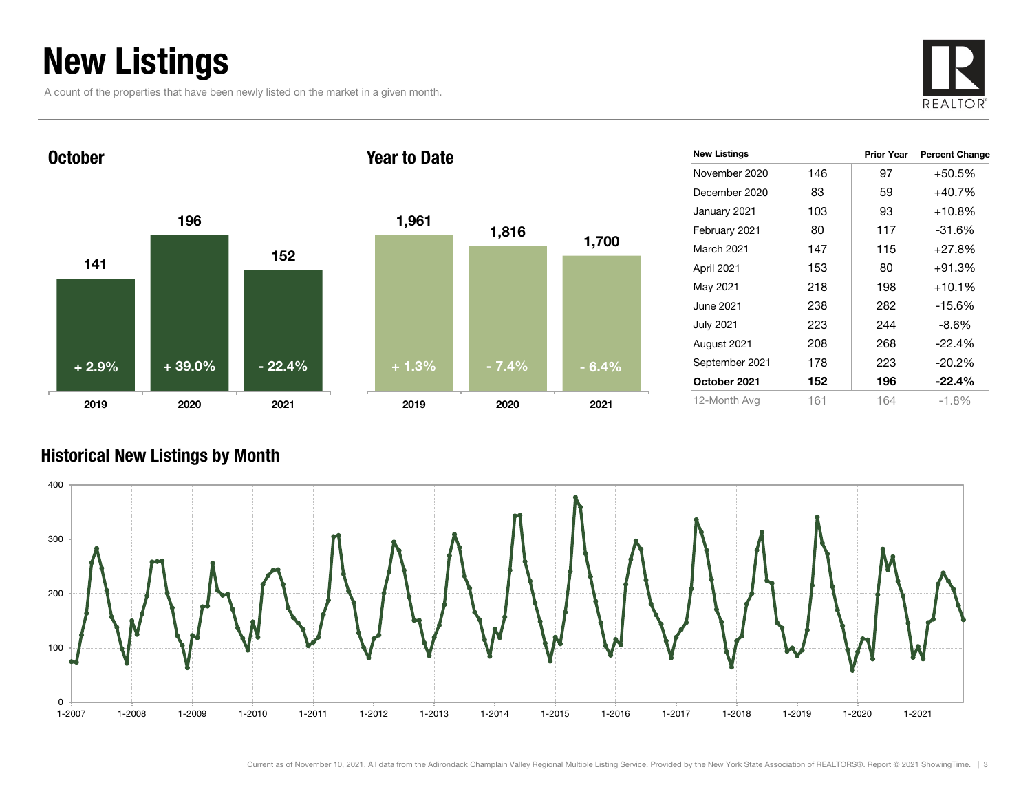## New Listings

A count of the properties that have been newly listed on the market in a given month.



1411961522019 2020 2021 October2019Year to Date+ 2.9% $+39.0\%$  - 22.4%

| 1,961   | 1,816   | 1,700   |
|---------|---------|---------|
|         |         |         |
|         |         |         |
| $+1.3%$ | $-7.4%$ | $-6.4%$ |
| 2019    | 2020    | 2021    |

| <b>New Listings</b> |     | <b>Prior Year</b> | <b>Percent Change</b> |
|---------------------|-----|-------------------|-----------------------|
| November 2020       | 146 | 97                | $+50.5%$              |
| December 2020       | 83  | 59                | $+40.7%$              |
| January 2021        | 103 | 93                | $+10.8%$              |
| February 2021       | 80  | 117               | $-31.6%$              |
| <b>March 2021</b>   | 147 | 115               | $+27.8%$              |
| April 2021          | 153 | 80                | $+91.3%$              |
| May 2021            | 218 | 198               | $+10.1%$              |
| June 2021.          | 238 | 282               | -15.6%                |
| <b>July 2021</b>    | 223 | 244               | -8.6%                 |
| August 2021         | 208 | 268               | $-22.4%$              |
| September 2021      | 178 | 223               | $-20.2\%$             |
| October 2021        | 152 | 196               | -22.4%                |
| 12-Month Avg        | 161 | 164               | $-1.8%$               |

#### Historical New Listings by Month

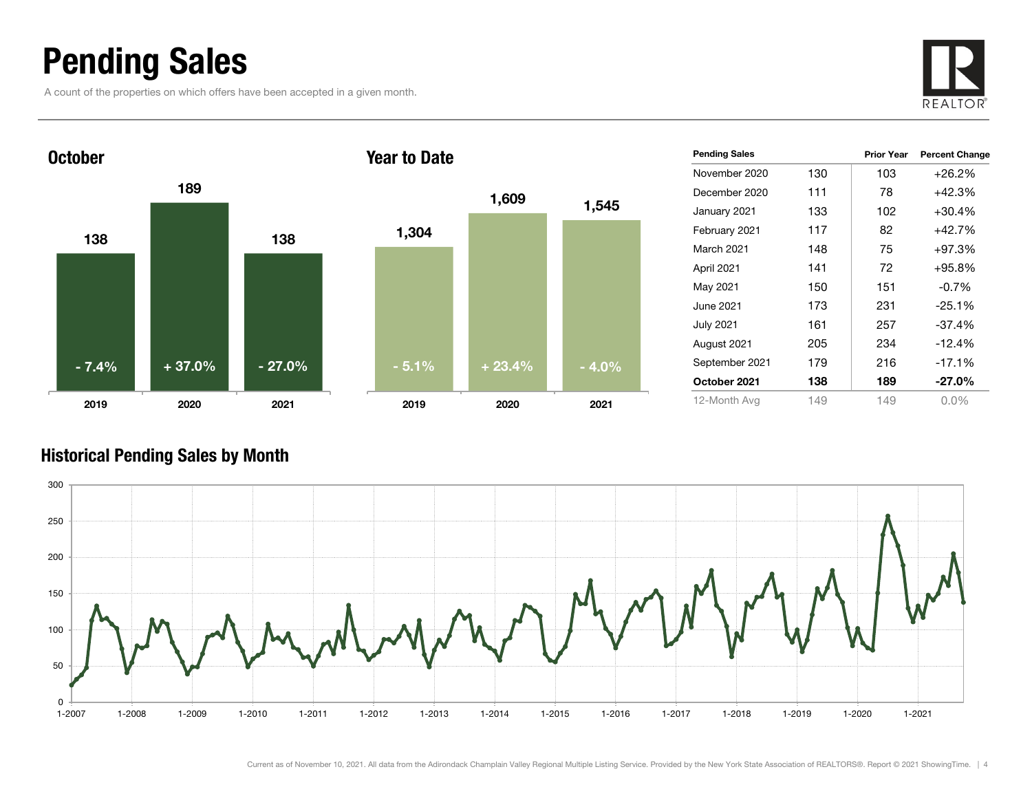### Pending Sales

A count of the properties on which offers have been accepted in a given month.





| <b>Pending Sales</b> |     | <b>Prior Year</b> | <b>Percent Change</b> |
|----------------------|-----|-------------------|-----------------------|
| November 2020        | 130 | 103               | $+26.2%$              |
| December 2020        | 111 | 78                | +42.3%                |
| January 2021         | 133 | 102               | $+30.4%$              |
| February 2021        | 117 | 82                | +42.7%                |
| March 2021           | 148 | 75                | $+97.3%$              |
| April 2021           | 141 | 72                | $+95.8\%$             |
| May 2021             | 150 | 151               | $-0.7%$               |
| June 2021.           | 173 | 231               | $-25.1%$              |
| <b>July 2021</b>     | 161 | 257               | -37.4%                |
| August 2021          | 205 | 234               | $-12.4%$              |
| September 2021       | 179 | 216               | $-17.1%$              |
| October 2021         | 138 | 189               | $-27.0\%$             |
| 12-Month Avg         | 149 | 149               | $0.0\%$               |

#### Historical Pending Sales by Month

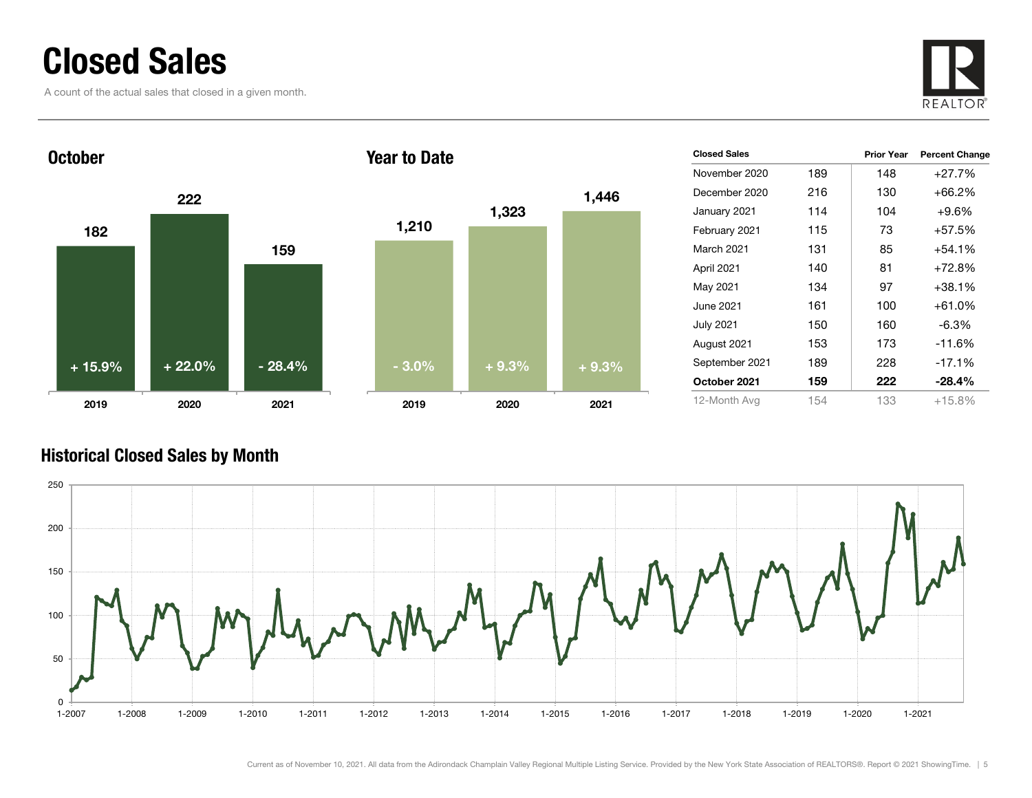### Closed Sales

A count of the actual sales that closed in a given month.





| <b>Closed Sales</b> |     | <b>Prior Year</b> | <b>Percent Change</b> |
|---------------------|-----|-------------------|-----------------------|
| November 2020       | 189 | 148               | $+27.7%$              |
| December 2020       | 216 | 130               | $+66.2%$              |
| January 2021        | 114 | 104               | $+9.6\%$              |
| February 2021       | 115 | 73                | +57.5%                |
| March 2021          | 131 | 85                | $+54.1%$              |
| April 2021          | 140 | 81                | $+72.8%$              |
| May 2021            | 134 | 97                | $+38.1%$              |
| June 2021           | 161 | 100               | $+61.0%$              |
| July 2021           | 150 | 160               | $-6.3\%$              |
| August 2021         | 153 | 173               | $-11.6%$              |
| September 2021      | 189 | 228               | $-17.1%$              |
| October 2021        | 159 | 222               | $-28.4\%$             |
| 12-Month Avg        | 154 | 133               | $+15.8\%$             |
|                     |     |                   |                       |

#### Historical Closed Sales by Month

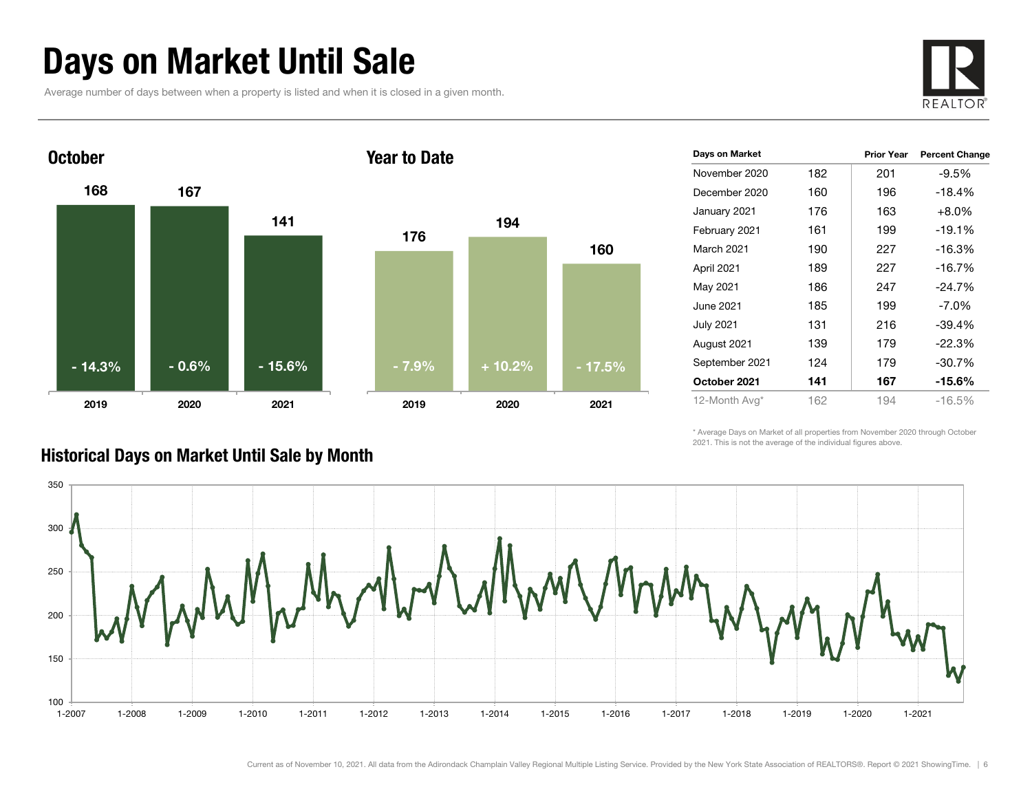### Days on Market Until Sale

Average number of days between when a property is listed and when it is closed in a given month.





| Days on Market |     | <b>Prior Year</b> | <b>Percent Change</b> |
|----------------|-----|-------------------|-----------------------|
| November 2020  | 182 | 201               | $-9.5%$               |
| December 2020  | 160 | 196               | $-18.4%$              |
| January 2021   | 176 | 163               | $+8.0\%$              |
| February 2021  | 161 | 199               | $-19.1%$              |
| March 2021     | 190 | 227               | -16.3%                |
| April 2021     | 189 | 227               | $-16.7%$              |
| May 2021       | 186 | 247               | $-24.7%$              |
| June 2021      | 185 | 199               | $-7.0\%$              |
| July 2021      | 131 | 216               | -39.4%                |
| August 2021    | 139 | 179               | $-22.3%$              |
| September 2021 | 124 | 179               | $-30.7%$              |
| October 2021   | 141 | 167               | $-15.6\%$             |
| 12-Month Avg*  | 162 | 194               | $-16.5\%$             |

\* Average Days on Market of all properties from November 2020 through October 2021. This is not the average of the individual figures above.



#### Historical Days on Market Until Sale by Month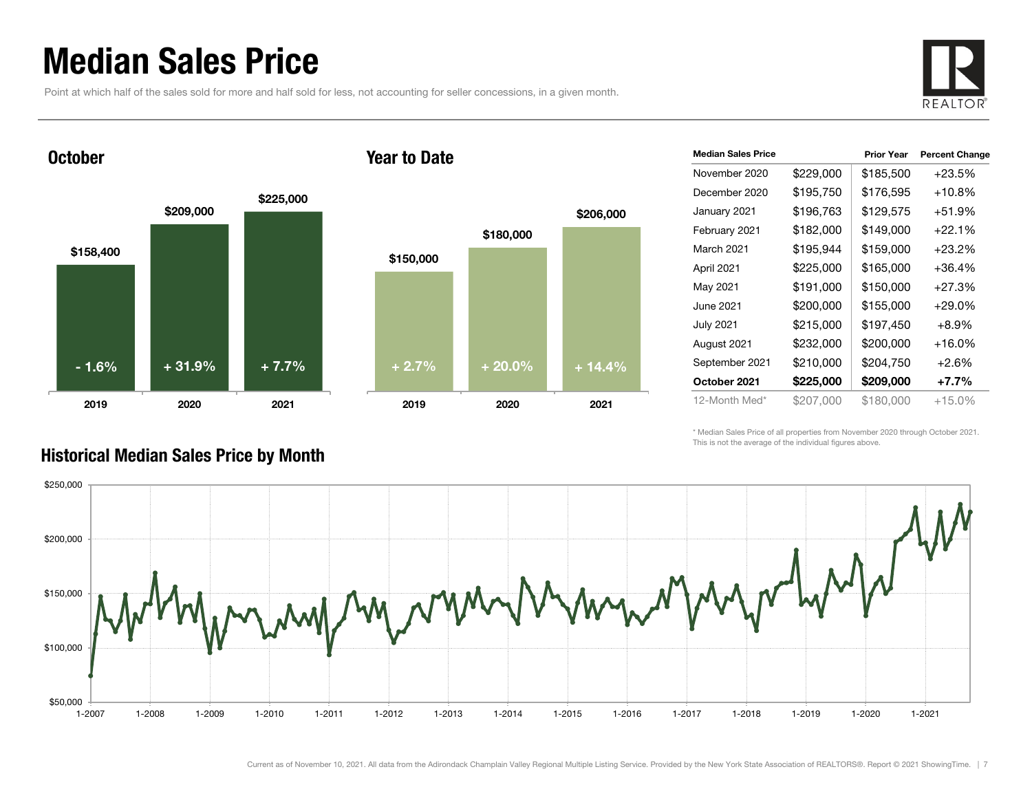### Median Sales Price

Point at which half of the sales sold for more and half sold for less, not accounting for seller concessions, in a given month.



**October** 





| <b>Median Sales Price</b> |           | <b>Prior Year</b> | <b>Percent Change</b> |
|---------------------------|-----------|-------------------|-----------------------|
| November 2020             | \$229,000 | \$185,500         | $+23.5%$              |
| December 2020             | \$195,750 | \$176,595         | $+10.8\%$             |
| January 2021              | \$196,763 | \$129,575         | $+51.9%$              |
| February 2021             | \$182,000 | \$149,000         | $+22.1%$              |
| March 2021                | \$195,944 | \$159,000         | $+23.2%$              |
| April 2021                | \$225,000 | \$165,000         | $+36.4%$              |
| May 2021                  | \$191,000 | \$150,000         | $+27.3%$              |
| June 2021                 | \$200,000 | \$155,000         | $+29.0%$              |
| <b>July 2021</b>          | \$215,000 | \$197,450         | $+8.9\%$              |
| August 2021               | \$232,000 | \$200,000         | $+16.0%$              |
| September 2021            | \$210,000 | \$204,750         | $+2.6%$               |
| October 2021              | \$225,000 | \$209,000         | $+7.7%$               |
| 12-Month Med*             | \$207,000 | \$180,000         | +15.0%                |

\* Median Sales Price of all properties from November 2020 through October 2021. This is not the average of the individual figures above.



#### Historical Median Sales Price by Month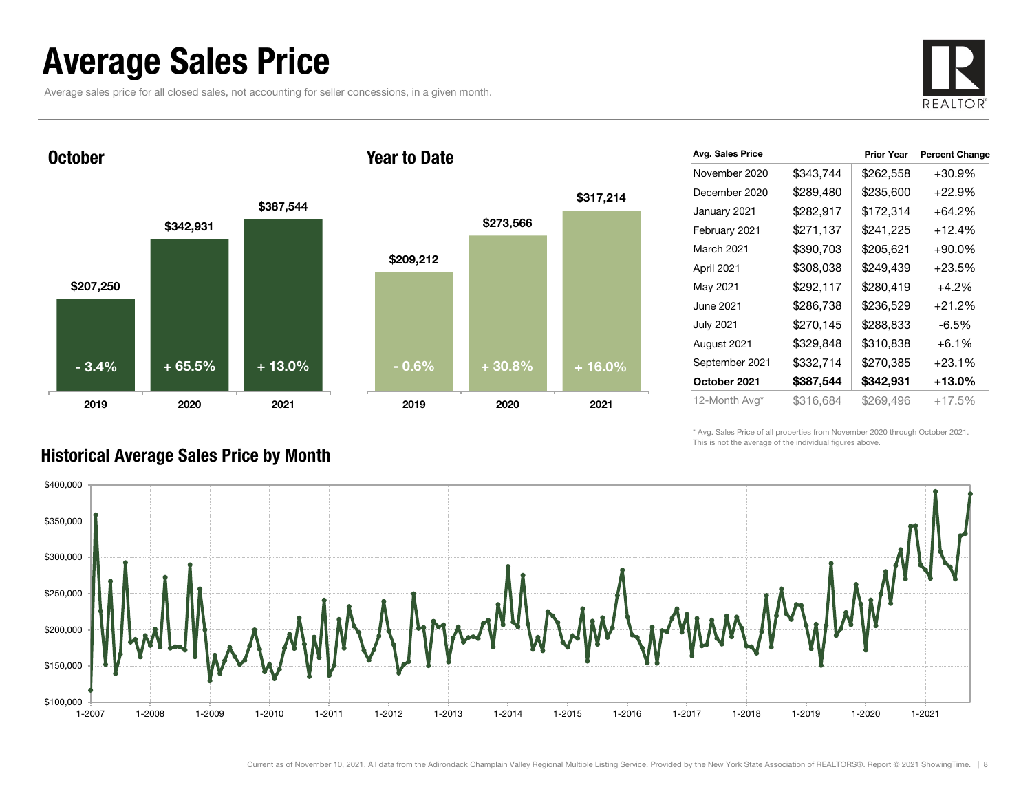### Average Sales Price

Average sales price for all closed sales, not accounting for seller concessions, in a given month.



**October** 





| Avg. Sales Price |           | <b>Prior Year</b> | <b>Percent Change</b> |
|------------------|-----------|-------------------|-----------------------|
| November 2020    | \$343,744 | \$262,558         | +30.9%                |
| December 2020    | \$289,480 | \$235,600         | +22.9%                |
| January 2021     | \$282,917 | \$172,314         | +64.2%                |
| February 2021    | \$271,137 | \$241,225         | $+12.4%$              |
| March 2021       | \$390,703 | \$205,621         | $+90.0\%$             |
| April 2021       | \$308,038 | \$249,439         | $+23.5%$              |
| May 2021         | \$292,117 | \$280,419         | $+4.2%$               |
| June 2021        | \$286,738 | \$236,529         | +21.2%                |
| July 2021        | \$270,145 | \$288,833         | $-6.5%$               |
| August 2021      | \$329,848 | \$310,838         | $+6.1%$               |
| September 2021   | \$332,714 | \$270,385         | +23.1%                |
| October 2021     | \$387,544 | \$342,931         | +13.0%                |
| 12-Month Avg*    | \$316,684 | \$269,496         | +17.5%                |
|                  |           |                   |                       |

\* Avg. Sales Price of all properties from November 2020 through October 2021. This is not the average of the individual figures above.



#### Historical Average Sales Price by Month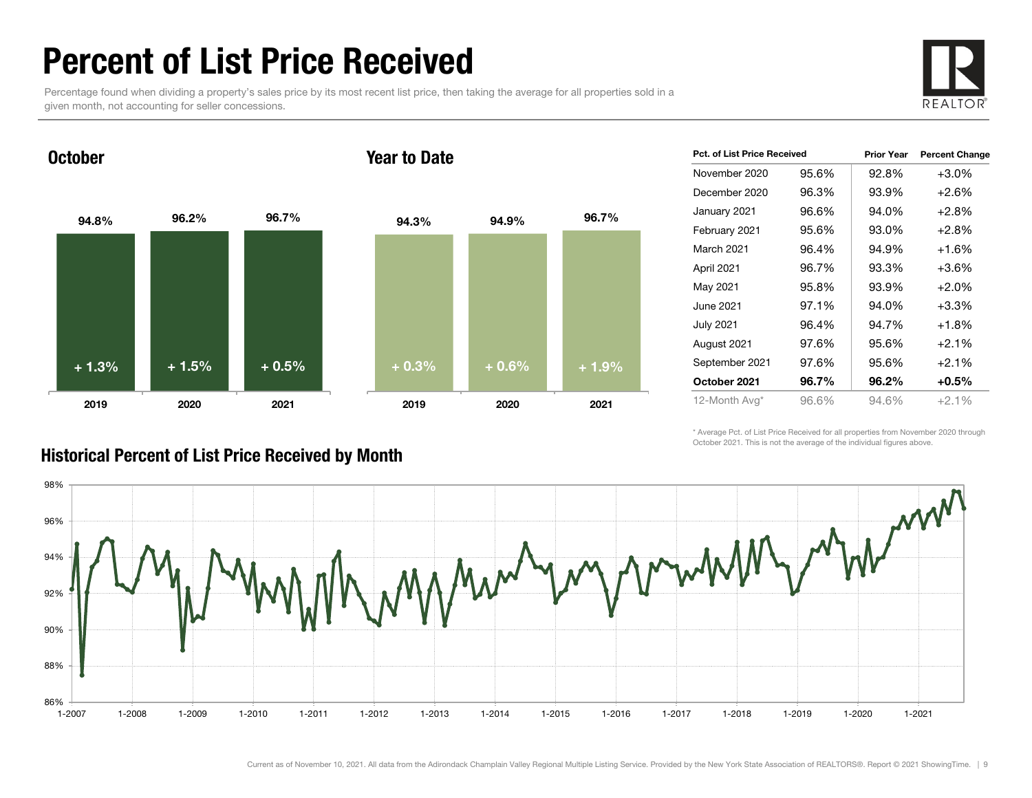### Percent of List Price Received

Percentage found when dividing a property's sales price by its most recent list price, then taking the average for all properties sold in a given month, not accounting for seller concessions.



94.8% 96.2% 96.7% 2019 2020 2021 October94.3% 94.9% 96.7% 2019 2020 2021 Year to Date+ 1.3% $\%$  + 1.5% + 0.5% + 0.3% + 0.3% + 0.6% + 1.9%

| <b>Pct. of List Price Received</b> |       | <b>Prior Year</b> | <b>Percent Change</b> |
|------------------------------------|-------|-------------------|-----------------------|
| November 2020                      | 95.6% | 92.8%             | $+3.0%$               |
| December 2020                      | 96.3% | 93.9%             | $+2.6%$               |
| January 2021                       | 96.6% | 94.0%             | $+2.8%$               |
| February 2021                      | 95.6% | 93.0%             | $+2.8%$               |
| March 2021                         | 96.4% | 94.9%             | +1.6%                 |
| April 2021                         | 96.7% | 93.3%             | $+3.6%$               |
| May 2021                           | 95.8% | 93.9%             | $+2.0%$               |
| June 2021                          | 97.1% | 94.0%             | $+3.3%$               |
| <b>July 2021</b>                   | 96.4% | 94.7%             | $+1.8%$               |
| August 2021                        | 97.6% | 95.6%             | $+2.1%$               |
| September 2021                     | 97.6% | 95.6%             | $+2.1%$               |
| October 2021                       | 96.7% | 96.2%             | $+0.5%$               |
| 12-Month Avg*                      | 96.6% | 94.6%             | $+2.1%$               |

\* Average Pct. of List Price Received for all properties from November 2020 through October 2021. This is not the average of the individual figures above.



#### Historical Percent of List Price Received by Month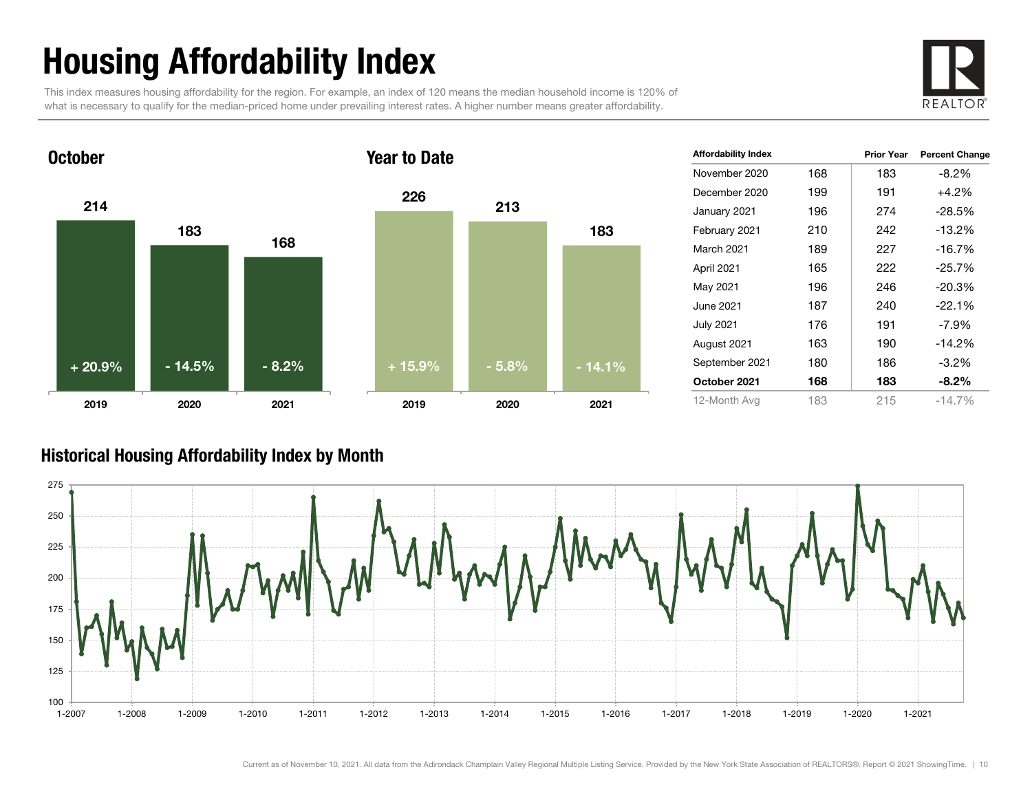# Housing Affordability Index

This index measures housing affordability for the region. For example, an index of 120 means the median household income is 120% of what is necessary to qualify for the median-priced home under prevailing interest rates. A higher number means greater affordability.





| <b>Affordability Index</b> |     | <b>Prior Year</b> | <b>Percent Change</b> |
|----------------------------|-----|-------------------|-----------------------|
| November 2020              | 168 | 183               | -8.2%                 |
| December 2020              | 199 | 191               | $+4.2%$               |
| January 2021               | 196 | 274               | $-28.5%$              |
| February 2021              | 210 | 242               | $-13.2%$              |
| <b>March 2021</b>          | 189 | 227               | $-16.7%$              |
| April 2021                 | 165 | 222               | $-25.7%$              |
| May 2021                   | 196 | 246               | $-20.3%$              |
| June 2021                  | 187 | 240               | $-22.1%$              |
| <b>July 2021</b>           | 176 | 191               | $-7.9\%$              |
| August 2021                | 163 | 190               | $-14.2%$              |
| September 2021             | 180 | 186               | $-3.2%$               |
| October 2021               | 168 | 183               | $-8.2\%$              |
| 12-Month Avg               | 183 | 215               | $-14.7%$              |

#### Historical Housing Affordability Index by Mont h

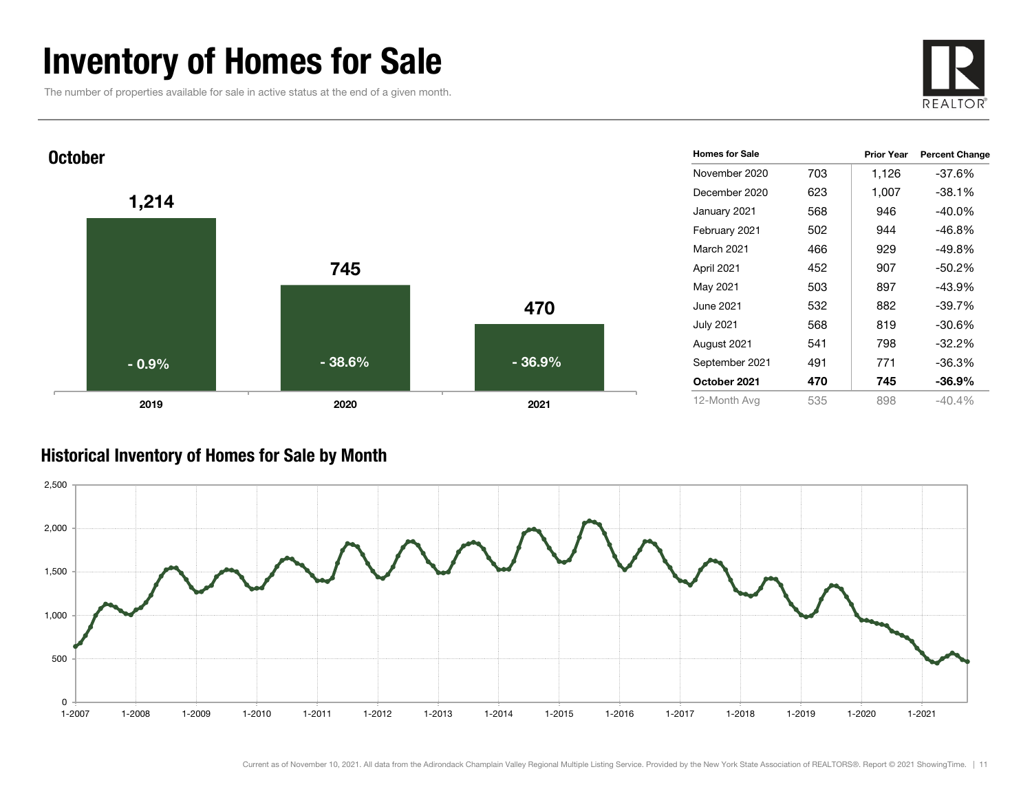### Inventory of Homes for Sale

The number of properties available for sale in active status at the end of a given month.





#### Historical Inventory of Homes for Sale by Month

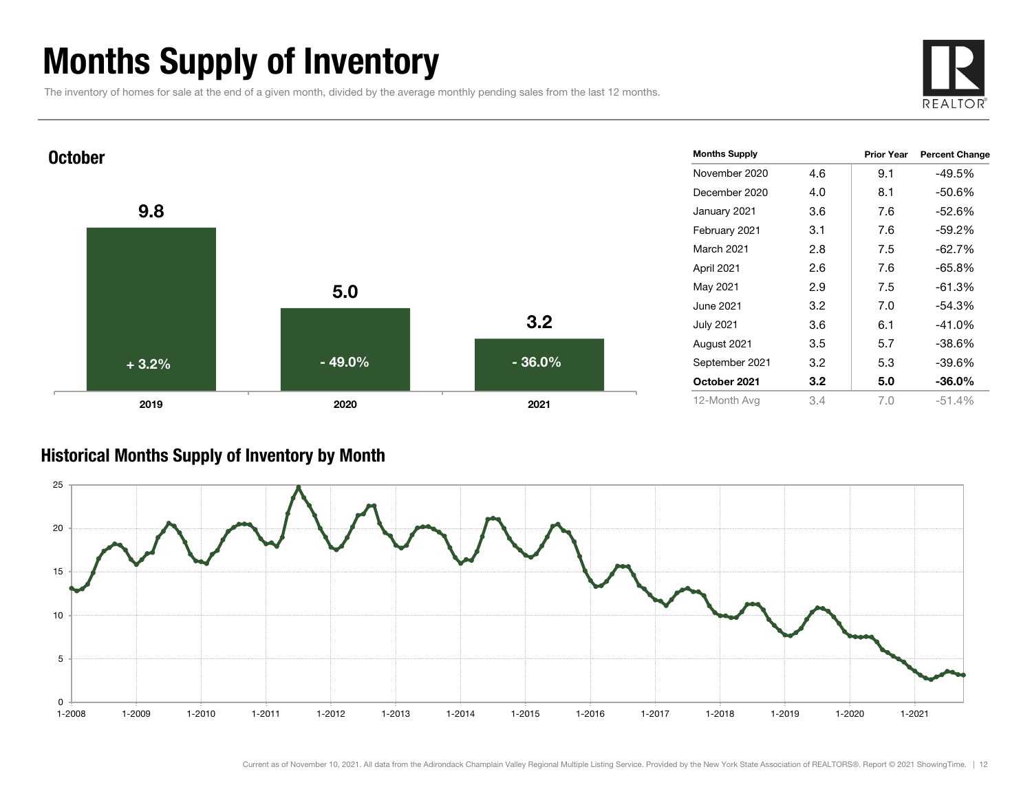### Months Supply of Inventory

The inventory of homes for sale at the end of a given month, divided by the average monthly pending sales from the last 12 months.





#### Historical Months Supply of Inventory by Month